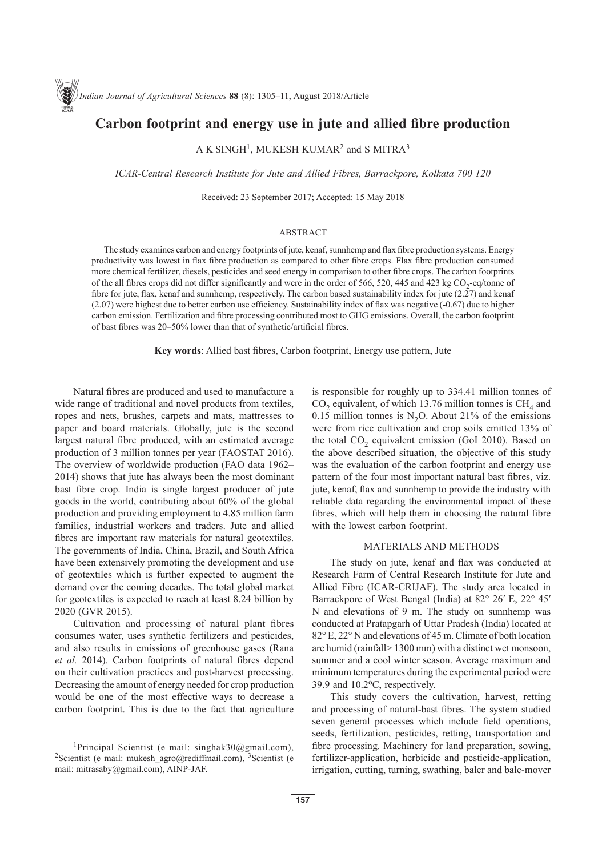# **Carbon footprint and energy use in jute and allied fibre production**

A K SINGH<sup>1</sup>, MUKESH KUMAR<sup>2</sup> and S MITRA<sup>3</sup>

*ICAR-Central Research Institute for Jute and Allied Fibres, Barrackpore, Kolkata 700 120*

Received: 23 September 2017; Accepted: 15 May 2018

## ABSTRACT

The study examines carbon and energy footprints of jute, kenaf, sunnhemp and flax fibre production systems. Energy productivity was lowest in flax fibre production as compared to other fibre crops. Flax fibre production consumed more chemical fertilizer, diesels, pesticides and seed energy in comparison to other fibre crops. The carbon footprints of the all fibres crops did not differ significantly and were in the order of 566, 520, 445 and 423 kg  $CO<sub>2</sub>$ -eq/tonne of fibre for jute, flax, kenaf and sunnhemp, respectively. The carbon based sustainability index for jute  $(2.27)$  and kenaf (2.07) were highest due to better carbon use efficiency. Sustainability index of flax was negative (-0.67) due to higher carbon emission. Fertilization and fibre processing contributed most to GHG emissions. Overall, the carbon footprint of bast fibres was 20–50% lower than that of synthetic/artificial fibres.

**Key words**: Allied bast fibres, Carbon footprint, Energy use pattern, Jute

Natural fibres are produced and used to manufacture a wide range of traditional and novel products from textiles, ropes and nets, brushes, carpets and mats, mattresses to paper and board materials. Globally, jute is the second largest natural fibre produced, with an estimated average production of 3 million tonnes per year (FAOSTAT 2016). The overview of worldwide production (FAO data 1962– 2014) shows that jute has always been the most dominant bast fibre crop. India is single largest producer of jute goods in the world, contributing about 60% of the global production and providing employment to 4.85 million farm families, industrial workers and traders. Jute and allied fibres are important raw materials for natural geotextiles. The governments of India, China, Brazil, and South Africa have been extensively promoting the development and use of geotextiles which is further expected to augment the demand over the coming decades. The total global market for geotextiles is expected to reach at least 8.24 billion by 2020 (GVR 2015).

Cultivation and processing of natural plant fibres consumes water, uses synthetic fertilizers and pesticides, and also results in emissions of greenhouse gases (Rana *et al.* 2014). Carbon footprints of natural fibres depend on their cultivation practices and post-harvest processing. Decreasing the amount of energy needed for crop production would be one of the most effective ways to decrease a carbon footprint. This is due to the fact that agriculture

is responsible for roughly up to 334.41 million tonnes of  $CO<sub>2</sub>$  equivalent, of which 13.76 million tonnes is  $CH<sub>4</sub>$  and  $0.15$  million tonnes is N<sub>2</sub>O. About 21% of the emissions were from rice cultivation and crop soils emitted 13% of the total  $CO<sub>2</sub>$  equivalent emission (GoI 2010). Based on the above described situation, the objective of this study was the evaluation of the carbon footprint and energy use pattern of the four most important natural bast fibres, viz. jute, kenaf, flax and sunnhemp to provide the industry with reliable data regarding the environmental impact of these fibres, which will help them in choosing the natural fibre with the lowest carbon footprint.

#### MATERIALS AND METHODS

The study on jute, kenaf and flax was conducted at Research Farm of Central Research Institute for Jute and Allied Fibre (ICAR-CRIJAF). The study area located in Barrackpore of West Bengal (India) at 82° 26′ E, 22° 45′ N and elevations of 9 m. The study on sunnhemp was conducted at Pratapgarh of Uttar Pradesh (India) located at 82° E, 22° N and elevations of 45 m. Climate of both location are humid (rainfall> 1300 mm) with a distinct wet monsoon, summer and a cool winter season. Average maximum and minimum temperatures during the experimental period were 39.9 and 10.2oC, respectively.

This study covers the cultivation, harvest, retting and processing of natural-bast fibres. The system studied seven general processes which include field operations, seeds, fertilization, pesticides, retting, transportation and fibre processing. Machinery for land preparation, sowing, fertilizer-application, herbicide and pesticide-application, irrigation, cutting, turning, swathing, baler and bale-mover

<sup>&</sup>lt;sup>1</sup>Principal Scientist (e mail: singhak30@gmail.com), <sup>2</sup>Scientist (e mail: mukesh\_agro@rediffmail.com), 3Scientist (e mail: mitrasaby@gmail.com), AINP-JAF.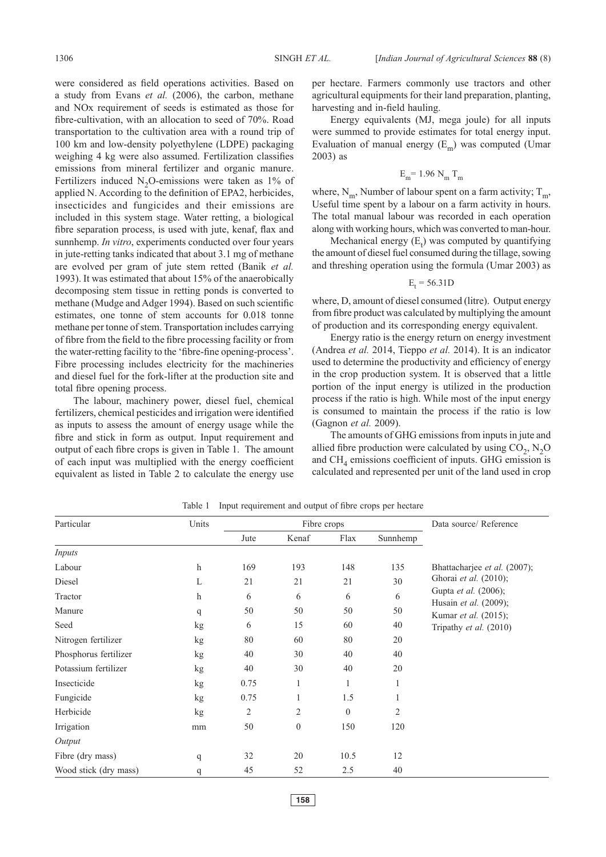were considered as field operations activities. Based on a study from Evans *et al.* (2006), the carbon, methane and NOx requirement of seeds is estimated as those for fibre-cultivation, with an allocation to seed of 70%. Road transportation to the cultivation area with a round trip of 100 km and low-density polyethylene (LDPE) packaging weighing 4 kg were also assumed. Fertilization classifies emissions from mineral fertilizer and organic manure. Fertilizers induced  $N_2O$ -emissions were taken as 1% of applied N. According to the definition of EPA2, herbicides, insecticides and fungicides and their emissions are included in this system stage. Water retting, a biological fibre separation process, is used with jute, kenaf, flax and sunnhemp. *In vitro*, experiments conducted over four years in jute-retting tanks indicated that about 3.1 mg of methane are evolved per gram of jute stem retted (Banik *et al.* 1993). It was estimated that about 15% of the anaerobically decomposing stem tissue in retting ponds is converted to methane (Mudge and Adger 1994). Based on such scientific estimates, one tonne of stem accounts for 0.018 tonne methane per tonne of stem. Transportation includes carrying of fibre from the field to the fibre processing facility or from the water-retting facility to the 'fibre-fine opening-process'. Fibre processing includes electricity for the machineries and diesel fuel for the fork-lifter at the production site and total fibre opening process.

The labour, machinery power, diesel fuel, chemical fertilizers, chemical pesticides and irrigation were identified as inputs to assess the amount of energy usage while the fibre and stick in form as output. Input requirement and output of each fibre crops is given in Table 1. The amount of each input was multiplied with the energy coefficient equivalent as listed in Table 2 to calculate the energy use per hectare. Farmers commonly use tractors and other agricultural equipments for their land preparation, planting, harvesting and in-field hauling.

Energy equivalents (MJ, mega joule) for all inputs were summed to provide estimates for total energy input. Evaluation of manual energy  $(E_m)$  was computed (Umar 2003) as

$$
E_m = 1.96 N_m T_m
$$

where,  $N_m$ , Number of labour spent on a farm activity;  $T_m$ , Useful time spent by a labour on a farm activity in hours. The total manual labour was recorded in each operation along with working hours, which was converted to man-hour.

Mechanical energy  $(E_t)$  was computed by quantifying the amount of diesel fuel consumed during the tillage, sowing and threshing operation using the formula (Umar 2003) as

$$
E_t = 56.31D
$$

where, D, amount of diesel consumed (litre). Output energy from fibre product was calculated by multiplying the amount of production and its corresponding energy equivalent.

Energy ratio is the energy return on energy investment (Andrea *et al.* 2014, Tieppo *et al.* 2014). It is an indicator used to determine the productivity and efficiency of energy in the crop production system. It is observed that a little portion of the input energy is utilized in the production process if the ratio is high. While most of the input energy is consumed to maintain the process if the ratio is low (Gagnon *et al.* 2009).

The amounts of GHG emissions from inputs in jute and allied fibre production were calculated by using  $CO<sub>2</sub>$ , N<sub>2</sub>O and  $CH<sub>4</sub>$  emissions coefficient of inputs. GHG emission is calculated and represented per unit of the land used in crop

| Particular            | Units        |                | Fibre crops  | Data source/Reference |          |                                               |
|-----------------------|--------------|----------------|--------------|-----------------------|----------|-----------------------------------------------|
|                       |              | Jute           | Kenaf        | Flax                  | Sunnhemp |                                               |
| <b>Inputs</b>         |              |                |              |                       |          |                                               |
| Labour                | $\mathbf{h}$ | 169            | 193          | 148                   | 135      | Bhattacharjee et al. (2007);                  |
| Diesel                | L            | 21             | 21           | 21                    | 30       | Ghorai et al. (2010);                         |
| Tractor               | $\mathbf h$  | 6              | 6            | 6                     | 6        | Gupta et al. (2006);<br>Husain et al. (2009); |
| Manure                | q            | 50             | 50           | 50                    | 50       | Kumar <i>et al.</i> (2015);                   |
| Seed                  | kg           | 6              | 15           | 60                    | 40       | Tripathy et al. (2010)                        |
| Nitrogen fertilizer   | kg           | 80             | 60           | 80                    | 20       |                                               |
| Phosphorus fertilizer | kg           | 40             | 30           | 40                    | 40       |                                               |
| Potassium fertilizer  | kg           | 40             | 30           | 40                    | 20       |                                               |
| Insecticide           | kg           | 0.75           | $\mathbf{1}$ | $\mathbf{1}$          | 1        |                                               |
| Fungicide             | kg           | 0.75           | 1            | 1.5                   | 1        |                                               |
| Herbicide             | kg           | $\overline{2}$ | $\sqrt{2}$   | $\boldsymbol{0}$      | 2        |                                               |
| Irrigation            | mm           | 50             | $\mathbf{0}$ | 150                   | 120      |                                               |
| Output                |              |                |              |                       |          |                                               |
| Fibre (dry mass)      | q            | 32             | 20           | 10.5                  | 12       |                                               |
| Wood stick (dry mass) | q            | 45             | 52           | 2.5                   | 40       |                                               |

Table 1 Input requirement and output of fibre crops per hectare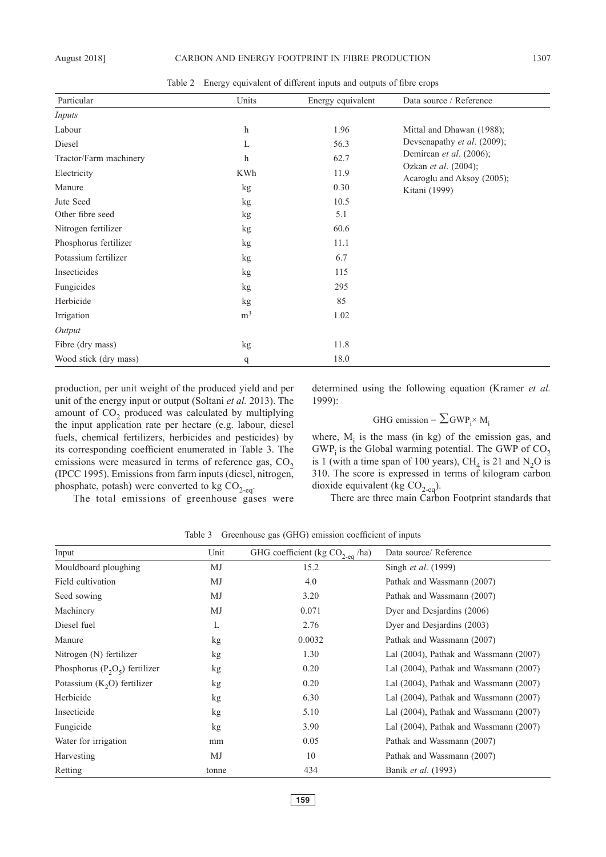Table 2 Energy equivalent of different inputs and outputs of fibre crops

| Particular             | Units          | Energy equivalent | Data source / Reference                            |
|------------------------|----------------|-------------------|----------------------------------------------------|
| Inputs                 |                |                   |                                                    |
| Labour                 | $\mathbf h$    | 1.96              | Mittal and Dhawan (1988);                          |
| Diesel                 | L              | 56.3              | Devsenapathy et al. (2009);                        |
| Tractor/Farm machinery | $\mathbf h$    | 62.7              | Demircan et al. (2006);                            |
| Electricity            | KWh            | 11.9              | Ozkan et al. (2004);<br>Acaroglu and Aksoy (2005); |
| Manure                 | kg             | 0.30              | Kitani (1999)                                      |
| Jute Seed              | kg             | 10.5              |                                                    |
| Other fibre seed       | kg             | 5.1               |                                                    |
| Nitrogen fertilizer    | kg             | 60.6              |                                                    |
| Phosphorus fertilizer  | kg             | 11.1              |                                                    |
| Potassium fertilizer   | kg             | 6.7               |                                                    |
| Insecticides           | kg             | 115               |                                                    |
| Fungicides             | kg             | 295               |                                                    |
| Herbicide              | kg             | 85                |                                                    |
| Irrigation             | m <sup>3</sup> | 1.02              |                                                    |
| Output                 |                |                   |                                                    |
| Fibre (dry mass)       | kg             | 11.8              |                                                    |
| Wood stick (dry mass)  | q              | 18.0              |                                                    |

production, per unit weight of the produced yield and per unit of the energy input or output (Soltani *et al.* 2013). The amount of  $CO<sub>2</sub>$  produced was calculated by multiplying the input application rate per hectare (e.g. labour, diesel fuels, chemical fertilizers, herbicides and pesticides) by its corresponding coefficient enumerated in Table 3. The emissions were measured in terms of reference gas,  $CO<sub>2</sub>$ (IPCC 1995). Emissions from farm inputs (diesel, nitrogen, phosphate, potash) were converted to kg  $CO_{2\text{-eq}}$ .

determined using the following equation (Kramer *et al.* 1999):

GHG emission =  $\sum$ GWP<sub>i</sub>× M<sub>i</sub>

where,  $M<sub>i</sub>$  is the mass (in kg) of the emission gas, and  $GWP_i$  is the Global warming potential. The GWP of  $CO_2$ is 1 (with a time span of 100 years),  $CH<sub>4</sub>$  is 21 and N<sub>2</sub>O is 310. The score is expressed in terms of kilogram carbon dioxide equivalent (kg  $CO_{2-\text{eq}}$ ).

The total emissions of greenhouse gases were

There are three main Carbon Footprint standards that

| Input                              | Unit  | GHG coefficient (kg $CO_{2\text{-eq}}$ /ha) | Data source/Reference                       |
|------------------------------------|-------|---------------------------------------------|---------------------------------------------|
| Mouldboard ploughing               | MJ    | 15.2                                        | Singh <i>et al.</i> (1999)                  |
| Field cultivation                  | MJ    | 4.0                                         | Pathak and Wassmann (2007)                  |
| Seed sowing                        | MJ    | 3.20                                        | Pathak and Wassmann (2007)                  |
| Machinery                          | MJ    | 0.071                                       | Dyer and Desjardins (2006)                  |
| Diesel fuel                        | L     | 2.76                                        | Dyer and Desjardins (2003)                  |
| Manure                             | kg    | 0.0032                                      | Pathak and Wassmann (2007)                  |
| Nitrogen (N) fertilizer            | kg    | 1.30                                        | Lal $(2004)$ , Pathak and Wassmann $(2007)$ |
| Phosphorus ( $P_2O_5$ ) fertilizer | kg    | 0.20                                        | Lal $(2004)$ , Pathak and Wassmann $(2007)$ |
| Potassium $(K2O)$ fertilizer       | kg    | 0.20                                        | Lal $(2004)$ , Pathak and Wassmann $(2007)$ |
| Herbicide                          | kg    | 6.30                                        | Lal $(2004)$ , Pathak and Wassmann $(2007)$ |
| Insecticide                        | kg    | 5.10                                        | Lal $(2004)$ , Pathak and Wassmann $(2007)$ |
| Fungicide                          | kg    | 3.90                                        | Lal $(2004)$ , Pathak and Wassmann $(2007)$ |
| Water for irrigation               | mm    | 0.05                                        | Pathak and Wassmann (2007)                  |
| Harvesting                         | MJ    | 10                                          | Pathak and Wassmann (2007)                  |
| Retting                            | tonne | 434                                         | Banik et al. (1993)                         |

Table 3 Greenhouse gas (GHG) emission coefficient of inputs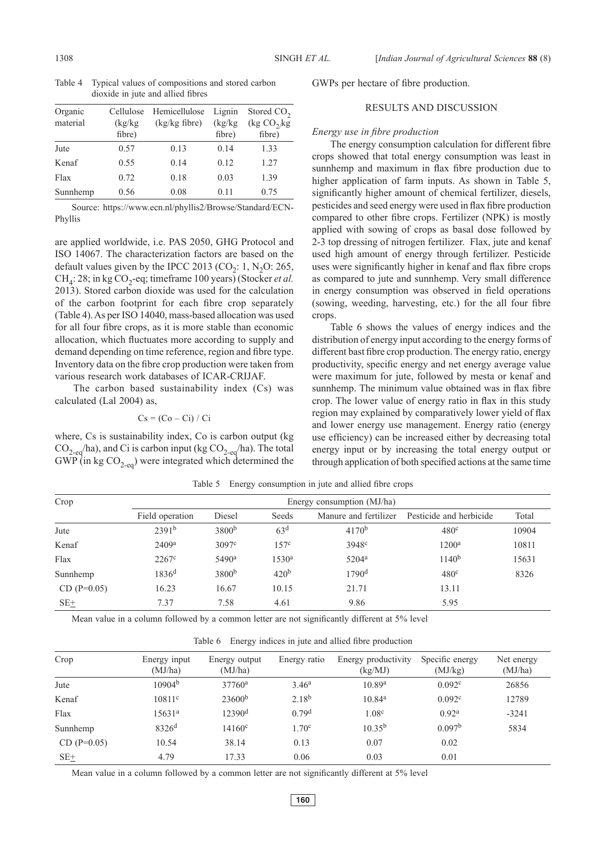Table 4 Typical values of compositions and stored carbon dioxide in jute and allied fibres

| Organic<br>material | Cellulose<br>(kg/kg)<br>fibre) | Hemicellulose<br>$(kg/kg$ fibre) | Lignin<br>(kg/kg)<br>fibre) | Stored CO <sub>2</sub><br>(kg CO <sub>2</sub> /kg)<br>fibre) |
|---------------------|--------------------------------|----------------------------------|-----------------------------|--------------------------------------------------------------|
| Jute                | 0.57                           | 0.13                             | 0.14                        | 1.33                                                         |
| Kenaf               | 0.55                           | 0.14                             | 0.12                        | 1.27                                                         |
| Flax                | 0.72                           | 0.18                             | 0.03                        | 1.39                                                         |
| Sunnhemp            | 0.56                           | 0.08                             | 0.11                        | 0.75                                                         |

Source: https://www.ecn.nl/phyllis2/Browse/Standard/ECN-Phyllis

are applied worldwide, i.e. PAS 2050, GHG Protocol and ISO 14067. The characterization factors are based on the default values given by the IPCC 2013 (CO<sub>2</sub>: 1, N<sub>2</sub>O: 265,  $CH<sub>4</sub>: 28$ ; in kg CO<sub>2</sub>-eq; timeframe 100 years) (Stocker *et al.* 2013). Stored carbon dioxide was used for the calculation of the carbon footprint for each fibre crop separately (Table 4). As per ISO 14040, mass-based allocation was used for all four fibre crops, as it is more stable than economic allocation, which fluctuates more according to supply and demand depending on time reference, region and fibre type. Inventory data on the fibre crop production were taken from various research work databases of ICAR-CRIJAF.

The carbon based sustainability index (Cs) was calculated (Lal 2004) as,

$$
Cs = (Co - Ci) / Ci
$$

where, Cs is sustainability index, Co is carbon output (kg  $CO_{2\text{-eq}}$ /ha), and Ci is carbon input (kg  $CO_{2\text{-eq}}$ /ha). The total  $GWP$  (in kg  $CO<sub>2-eq</sub>$ ) were integrated which determined the GWPs per hectare of fibre production.

# RESULTS AND DISCUSSION

#### *Energy use in fibre production*

The energy consumption calculation for different fibre crops showed that total energy consumption was least in sunnhemp and maximum in flax fibre production due to higher application of farm inputs. As shown in Table 5, significantly higher amount of chemical fertilizer, diesels, pesticides and seed energy were used in flax fibre production compared to other fibre crops. Fertilizer (NPK) is mostly applied with sowing of crops as basal dose followed by 2-3 top dressing of nitrogen fertilizer. Flax, jute and kenaf used high amount of energy through fertilizer. Pesticide uses were significantly higher in kenaf and flax fibre crops as compared to jute and sunnhemp. Very small difference in energy consumption was observed in field operations (sowing, weeding, harvesting, etc.) for the all four fibre crops.

Table 6 shows the values of energy indices and the distribution of energy input according to the energy forms of different bast fibre crop production. The energy ratio, energy productivity, specific energy and net energy average value were maximum for jute, followed by mesta or kenaf and sunnhemp. The minimum value obtained was in flax fibre crop. The lower value of energy ratio in flax in this study region may explained by comparatively lower yield of flax and lower energy use management. Energy ratio (energy use efficiency) can be increased either by decreasing total energy input or by increasing the total energy output or through application of both specified actions at the same time

| Crop          | Energy consumption (MJ/ha) |                   |                   |                       |                         |       |  |
|---------------|----------------------------|-------------------|-------------------|-----------------------|-------------------------|-------|--|
|               | Field operation            | Diesel            | Seeds             | Manure and fertilizer | Pesticide and herbicide | Total |  |
| Jute          | 2391 <sup>b</sup>          | 3800 <sup>b</sup> | 63 <sup>d</sup>   | 4170 <sup>b</sup>     | 480 <sup>c</sup>        | 10904 |  |
| Kenaf         | 2409 <sup>a</sup>          | 3097c             | 157c              | 3948 <sup>c</sup>     | 1200 <sup>a</sup>       | 10811 |  |
| Flax          | $2267$ <sup>c</sup>        | 5490 <sup>a</sup> | 1530 <sup>a</sup> | $5204^{\rm a}$        | 1140 <sup>b</sup>       | 15631 |  |
| Sunnhemp      | 1836 <sup>d</sup>          | 3800 <sup>b</sup> | 420 <sup>b</sup>  | $1790^{\rm d}$        | 480 <sup>c</sup>        | 8326  |  |
| $CD (P=0.05)$ | 16.23                      | 16.67             | 10.15             | 21.71                 | 13.11                   |       |  |
| $SE_{-}$      | 7.37                       | 7.58              | 4.61              | 9.86                  | 5.95                    |       |  |

Table 5 Energy consumption in jute and allied fibre crops

Mean value in a column followed by a common letter are not significantly different at 5% level

|  |  |  | Table 6 Energy indices in jute and allied fibre production |
|--|--|--|------------------------------------------------------------|
|  |  |  |                                                            |

| Crop          | Energy input<br>(MJ/ha) | Energy output<br>(MJ/ha) | Energy ratio      | Energy productivity<br>(kg/MJ) | Specific energy<br>(MJ/kg) | Net energy<br>(MJ/ha) |
|---------------|-------------------------|--------------------------|-------------------|--------------------------------|----------------------------|-----------------------|
| Jute          | 10904 <sup>b</sup>      | 37760 <sup>a</sup>       | 3.46 <sup>a</sup> | 10.89 <sup>a</sup>             | 0.092c                     | 26856                 |
| Kenaf         | 10811c                  | 23600 <sup>b</sup>       | $2.18^{b}$        | 10.84 <sup>a</sup>             | 0.092c                     | 12789                 |
| Flax          | $15631^{\rm a}$         | 12390 <sup>d</sup>       | 0.79 <sup>d</sup> | 1.08 <sup>c</sup>              | 0.92 <sup>a</sup>          | $-3241$               |
| Sunnhemp      | 8326 <sup>d</sup>       | $14160^{\circ}$          | 1.70c             | $10.35^{b}$                    | 0.097 <sup>b</sup>         | 5834                  |
| $CD (P=0.05)$ | 10.54                   | 38.14                    | 0.13              | 0.07                           | 0.02                       |                       |
| $SE+$         | 4.79                    | 17.33                    | 0.06              | 0.03                           | 0.01                       |                       |

Mean value in a column followed by a common letter are not significantly different at 5% level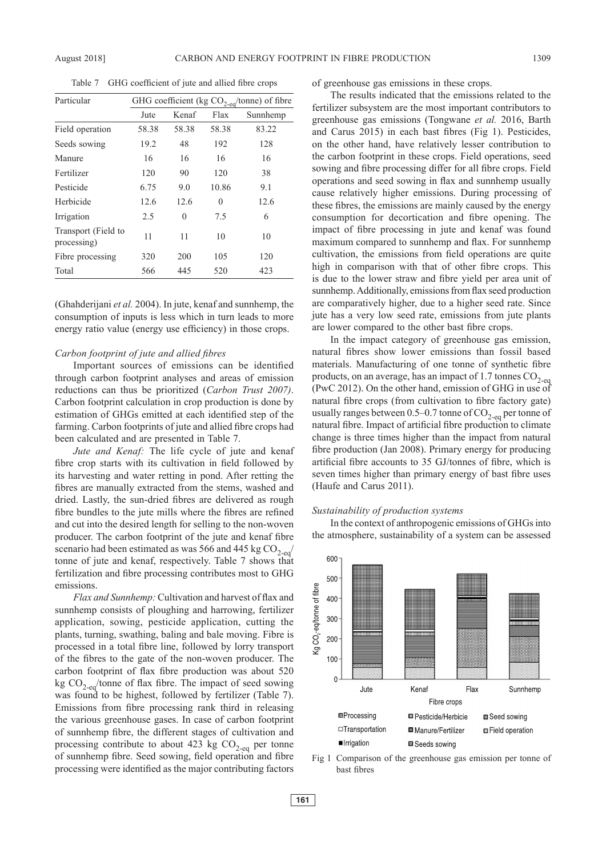Table 7 GHG coefficient of jute and allied fibre crops

| Particular                         | GHG coefficient (kg CO <sub>2-eq</sub> /tonne) of fibre |       |       |          |  |  |
|------------------------------------|---------------------------------------------------------|-------|-------|----------|--|--|
|                                    | Jute                                                    | Kenaf | Flax  | Sunnhemp |  |  |
| Field operation                    | 58.38                                                   | 58.38 | 58.38 | 83.22    |  |  |
| Seeds sowing                       | 19.2                                                    | 48    | 192   | 128      |  |  |
| Manure                             | 16                                                      | 16    | 16    | 16       |  |  |
| Fertilizer                         | 120                                                     | 90    | 120   | 38       |  |  |
| Pesticide                          | 6.75                                                    | 9.0   | 10.86 | 9.1      |  |  |
| Herbicide                          | 12.6                                                    | 12.6  | 0     | 12.6     |  |  |
| Irrigation                         | 2.5                                                     | 0     | 7.5   | 6        |  |  |
| Transport (Field to<br>processing) | 11                                                      | 11    | 10    | 10       |  |  |
| Fibre processing                   | 320                                                     | 200   | 105   | 120      |  |  |
| Total                              | 566                                                     | 445   | 520   | 423      |  |  |

(Ghahderijani *et al.* 2004). In jute, kenaf and sunnhemp, the consumption of inputs is less which in turn leads to more energy ratio value (energy use efficiency) in those crops.

## *Carbon footprint of jute and allied fibres*

Important sources of emissions can be identified through carbon footprint analyses and areas of emission reductions can thus be prioritized (*Carbon Trust 2007)*. Carbon footprint calculation in crop production is done by estimation of GHGs emitted at each identified step of the farming. Carbon footprints of jute and allied fibre crops had been calculated and are presented in Table 7.

*Jute and Kenaf:* The life cycle of jute and kenaf fibre crop starts with its cultivation in field followed by its harvesting and water retting in pond. After retting the fibres are manually extracted from the stems, washed and dried. Lastly, the sun-dried fibres are delivered as rough fibre bundles to the jute mills where the fibres are refined and cut into the desired length for selling to the non-woven producer. The carbon footprint of the jute and kenaf fibre scenario had been estimated as was 566 and 445 kg  $CO<sub>2-eq</sub>$ tonne of jute and kenaf, respectively. Table 7 shows that fertilization and fibre processing contributes most to GHG emissions.

*Flax and Sunnhemp:* Cultivation and harvest of flax and sunnhemp consists of ploughing and harrowing, fertilizer application, sowing, pesticide application, cutting the plants, turning, swathing, baling and bale moving. Fibre is processed in a total fibre line, followed by lorry transport of the fibres to the gate of the non-woven producer. The carbon footprint of flax fibre production was about 520 kg  $CO<sub>2-eq</sub>/tonne$  of flax fibre. The impact of seed sowing was found to be highest, followed by fertilizer (Table 7). Emissions from fibre processing rank third in releasing the various greenhouse gases. In case of carbon footprint of sunnhemp fibre, the different stages of cultivation and processing contribute to about 423 kg  $CO<sub>2-eq</sub>$  per tonne of sunnhemp fibre. Seed sowing, field operation and fibre processing were identified as the major contributing factors of greenhouse gas emissions in these crops.

The results indicated that the emissions related to the fertilizer subsystem are the most important contributors to greenhouse gas emissions (Tongwane *et al.* 2016, Barth and Carus 2015) in each bast fibres (Fig 1). Pesticides, on the other hand, have relatively lesser contribution to the carbon footprint in these crops. Field operations, seed sowing and fibre processing differ for all fibre crops. Field operations and seed sowing in flax and sunnhemp usually cause relatively higher emissions. During processing of these fibres, the emissions are mainly caused by the energy consumption for decortication and fibre opening. The impact of fibre processing in jute and kenaf was found maximum compared to sunnhemp and flax. For sunnhemp cultivation, the emissions from field operations are quite high in comparison with that of other fibre crops. This is due to the lower straw and fibre yield per area unit of sunnhemp. Additionally, emissions from flax seed production are comparatively higher, due to a higher seed rate. Since jute has a very low seed rate, emissions from jute plants are lower compared to the other bast fibre crops.

In the impact category of greenhouse gas emission, natural fibres show lower emissions than fossil based materials. Manufacturing of one tonne of synthetic fibre products, on an average, has an impact of 1.7 tonnes  $CO_{2-eq}$ (PwC 2012). On the other hand, emission of GHG in use of natural fibre crops (from cultivation to fibre factory gate) usually ranges between 0.5–0.7 tonne of  $CO<sub>2-eq</sub>$  per tonne of natural fibre. Impact of artificial fibre production to climate change is three times higher than the impact from natural fibre production (Jan 2008). Primary energy for producing artificial fibre accounts to 35 GJ/tonnes of fibre, which is seven times higher than primary energy of bast fibre uses (Haufe and Carus 2011).

#### *Sustainability of production systems*

In the context of anthropogenic emissions of GHGs into the atmosphere, sustainability of a system can be assessed



Fig 1 Comparison of the greenhouse gas emission per tonne of bast fibres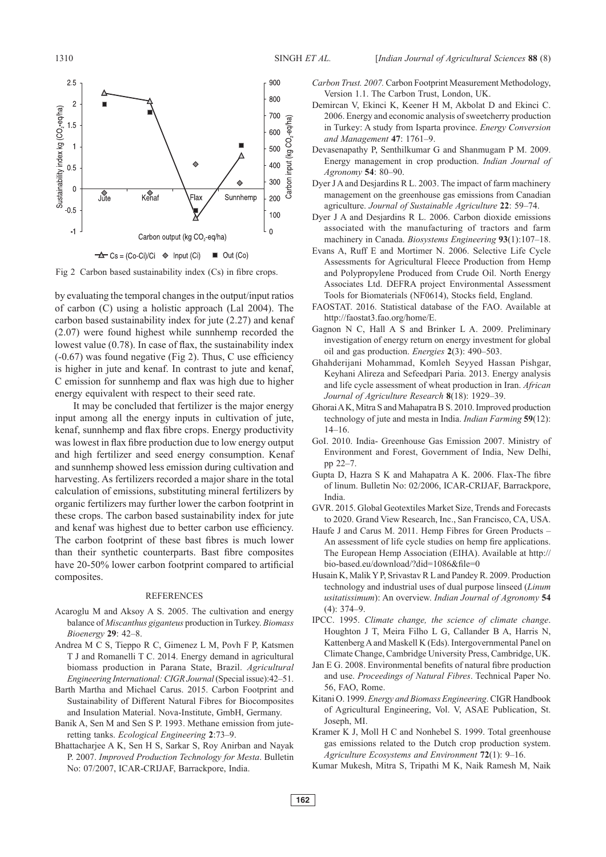

Fig 2 Carbon based sustainability index (Cs) in fibre crops.

by evaluating the temporal changes in the output/input ratios of carbon (C) using a holistic approach (Lal 2004). The carbon based sustainability index for jute (2.27) and kenaf (2.07) were found highest while sunnhemp recorded the lowest value (0.78). In case of flax, the sustainability index (-0.67) was found negative (Fig 2). Thus, C use efficiency is higher in jute and kenaf. In contrast to jute and kenaf, C emission for sunnhemp and flax was high due to higher energy equivalent with respect to their seed rate.

It may be concluded that fertilizer is the major energy input among all the energy inputs in cultivation of jute, kenaf, sunnhemp and flax fibre crops. Energy productivity was lowest in flax fibre production due to low energy output and high fertilizer and seed energy consumption. Kenaf and sunnhemp showed less emission during cultivation and harvesting. As fertilizers recorded a major share in the total calculation of emissions, substituting mineral fertilizers by organic fertilizers may further lower the carbon footprint in these crops. The carbon based sustainability index for jute and kenaf was highest due to better carbon use efficiency. The carbon footprint of these bast fibres is much lower than their synthetic counterparts. Bast fibre composites have 20-50% lower carbon footprint compared to artificial composites.

#### **REFERENCES**

- Acaroglu M and Aksoy A S. 2005. The cultivation and energy balance of *Miscanthus giganteus* production in Turkey. *Biomass Bioenergy* **29**: 42–8.
- Andrea M C S, Tieppo R C, Gimenez L M, Povh F P, Katsmen T J and Romanelli T C. 2014. Energy demand in agricultural biomass production in Parana State, Brazil. *Agricultural Engineering International: CIGR Journal* (Special issue):42–51.
- Barth Martha and Michael Carus. 2015. Carbon Footprint and Sustainability of Different Natural Fibres for Biocomposites and Insulation Material. Nova-Institute, GmbH, Germany.
- Banik A, Sen M and Sen S P. 1993. Methane emission from juteretting tanks. *Ecological Engineering* **2**:73–9.
- Bhattacharjee A K, Sen H S, Sarkar S, Roy Anirban and Nayak P. 2007. *Improved Production Technology for Mesta*. Bulletin No: 07/2007, ICAR-CRIJAF, Barrackpore, India.
- *Carbon Trust. 2007.* Carbon Footprint Measurement Methodology, Version 1.1. The Carbon Trust, London, UK.
- Demircan V, Ekinci K, Keener H M, Akbolat D and Ekinci C. 2006. Energy and economic analysis of sweetcherry production in Turkey: A study from Isparta province. *Energy Conversion and Management* **47**: 1761–9.
- Devasenapathy P, Senthilkumar G and Shanmugam P M. 2009. Energy management in crop production. *Indian Journal of Agronomy* **54**: 80–90.
- Dyer J A and Desjardins R L. 2003. The impact of farm machinery management on the greenhouse gas emissions from Canadian agriculture. *Journal of Sustainable Agriculture* **22**: 59–74.
- Dyer J A and Desjardins R L. 2006. Carbon dioxide emissions associated with the manufacturing of tractors and farm machinery in Canada. *Biosystems Engineering* **93**(1):107–18.
- Evans A, Ruff E and Mortimer N. 2006. Selective Life Cycle Assessments for Agricultural Fleece Production from Hemp and Polypropylene Produced from Crude Oil. North Energy Associates Ltd. DEFRA project Environmental Assessment Tools for Biomaterials (NF0614), Stocks field, England.
- FAOSTAT. 2016. Statistical database of the FAO. Available at http://faostat3.fao.org/home/E.
- Gagnon N C, Hall A S and Brinker L A. 2009. Preliminary investigation of energy return on energy investment for global oil and gas production. *Energies* **2**(3): 490–503.
- Ghahderijani Mohammad, Komleh Seyyed Hassan Pishgar, Keyhani Alireza and Sefeedpari Paria. 2013. Energy analysis and life cycle assessment of wheat production in Iran. *African Journal of Agriculture Research* **8**(18): 1929–39.
- Ghorai A K, Mitra S and Mahapatra B S. 2010. Improved production technology of jute and mesta in India. *Indian Farming* **59**(12): 14–16.
- GoI. 2010. India- Greenhouse Gas Emission 2007. Ministry of Environment and Forest, Government of India, New Delhi, pp 22–7.
- Gupta D, Hazra S K and Mahapatra A K. 2006. Flax-The fibre of linum. Bulletin No: 02/2006, ICAR-CRIJAF, Barrackpore, India.
- GVR. 2015. Global Geotextiles Market Size, Trends and Forecasts to 2020. Grand View Research, Inc., San Francisco, CA, USA.
- Haufe J and Carus M. 2011. Hemp Fibres for Green Products An assessment of life cycle studies on hemp fire applications. The European Hemp Association (EIHA). Available at http:// bio-based.eu/download/?did=1086&file=0
- Husain K, Malik Y P, Srivastav R L and Pandey R. 2009. Production technology and industrial uses of dual purpose linseed (*Linum usitatissimum*): An overview. *Indian Journal of Agronomy* **54** (4): 374–9.
- IPCC. 1995. *Climate change, the science of climate change*. Houghton J T, Meira Filho L G, Callander B A, Harris N, Kattenberg A and Maskell K (Eds). Intergovernmental Panel on Climate Change, Cambridge University Press, Cambridge, UK.
- Jan E G. 2008. Environmental benefits of natural fibre production and use. *Proceedings of Natural Fibres*. Technical Paper No. 56, FAO, Rome.
- Kitani O. 1999. *Energy and Biomass Engineering*. CIGR Handbook of Agricultural Engineering, Vol. V, ASAE Publication, St. Joseph, MI.
- Kramer K J, Moll H C and Nonhebel S. 1999. Total greenhouse gas emissions related to the Dutch crop production system. *Agriculture Ecosystems and Environment* **72**(1): 9–16.
- Kumar Mukesh, Mitra S, Tripathi M K, Naik Ramesh M, Naik